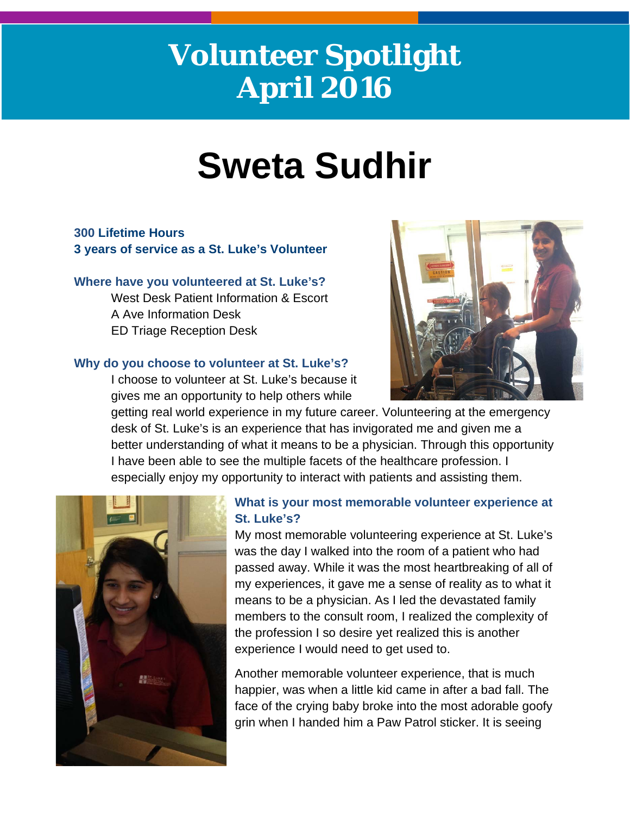# **Volunteer Spotlight April 2016**

# **Sweta Sudhir**

# **300 Lifetime Hours 3 years of service as a St. Luke's Volunteer**

## **Where have you volunteered at St. Luke's?**

West Desk Patient Information & Escort A Ave Information Desk ED Triage Reception Desk

## **Why do you choose to volunteer at St. Luke's?**

I choose to volunteer at St. Luke's because it gives me an opportunity to help others while



getting real world experience in my future career. Volunteering at the emergency desk of St. Luke's is an experience that has invigorated me and given me a better understanding of what it means to be a physician. Through this opportunity I have been able to see the multiple facets of the healthcare profession. I especially enjoy my opportunity to interact with patients and assisting them.



# **What is your most memorable volunteer experience at St. Luke's?**

My most memorable volunteering experience at St. Luke's was the day I walked into the room of a patient who had passed away. While it was the most heartbreaking of all of my experiences, it gave me a sense of reality as to what it means to be a physician. As I led the devastated family members to the consult room, I realized the complexity of the profession I so desire yet realized this is another experience I would need to get used to.

Another memorable volunteer experience, that is much happier, was when a little kid came in after a bad fall. The face of the crying baby broke into the most adorable goofy grin when I handed him a Paw Patrol sticker. It is seeing